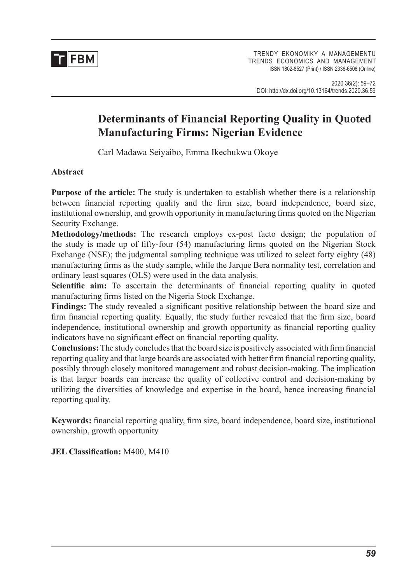

# **Determinants of Financial Reporting Quality in Quoted Manufacturing Firms: Nigerian Evidence**

Carl Madawa Seiyaibo, Emma Ikechukwu Okoye

#### **Abstract**

**Purpose of the article:** The study is undertaken to establish whether there is a relationship between financial reporting quality and the firm size, board independence, board size, institutional ownership, and growth opportunity in manufacturing firms quoted on the Nigerian Security Exchange.

**Methodology/methods:** The research employs ex-post facto design; the population of the study is made up of fifty-four (54) manufacturing firms quoted on the Nigerian Stock Exchange (NSE); the judgmental sampling technique was utilized to select forty eighty (48) manufacturing firms as the study sample, while the Jarque Bera normality test, correlation and ordinary least squares (OLS) were used in the data analysis.

**Scientific aim:** To ascertain the determinants of financial reporting quality in quoted manufacturing firms listed on the Nigeria Stock Exchange.

**Findings:** The study revealed a significant positive relationship between the board size and firm financial reporting quality. Equally, the study further revealed that the firm size, board independence, institutional ownership and growth opportunity as financial reporting quality indicators have no significant effect on financial reporting quality.

**Conclusions:** The study concludes that the board size is positively associated with firm financial reporting quality and that large boards are associated with better firm financial reporting quality, possibly through closely monitored management and robust decision-making. The implication is that larger boards can increase the quality of collective control and decision-making by utilizing the diversities of knowledge and expertise in the board, hence increasing financial reporting quality.

**Keywords:** financial reporting quality, firm size, board independence, board size, institutional ownership, growth opportunity

**JEL Classification:** M400, M410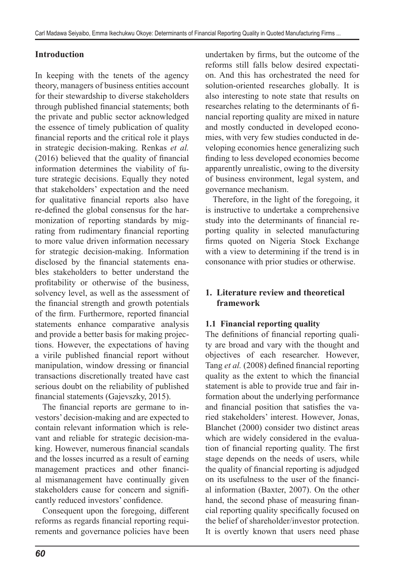## **Introduction**

In keeping with the tenets of the agency theory, managers of business entities account for their stewardship to diverse stakeholders through published financial statements; both the private and public sector acknowledged the essence of timely publication of quality financial reports and the critical role it plays in strategic decision-making. Renkas *et al.* (2016) believed that the quality of financial information determines the viability of future strategic decisions. Equally they noted that stakeholders' expectation and the need for qualitative financial reports also have re-defined the global consensus for the harmonization of reporting standards by migrating from rudimentary financial reporting to more value driven information necessary for strategic decision-making. Information disclosed by the financial statements enables stakeholders to better understand the profitability or otherwise of the business, solvency level, as well as the assessment of the financial strength and growth potentials of the firm. Furthermore, reported financial statements enhance comparative analysis and provide a better basis for making projections. However, the expectations of having a virile published financial report without manipulation, window dressing or financial transactions discretionally treated have cast serious doubt on the reliability of published financial statements (Gajevszky, 2015).

The financial reports are germane to investors' decision-making and are expected to contain relevant information which is relevant and reliable for strategic decision-making. However, numerous financial scandals and the losses incurred as a result of earning management practices and other financial mismanagement have continually given stakeholders cause for concern and significantly reduced investors' confidence.

Consequent upon the foregoing, different reforms as regards financial reporting requirements and governance policies have been undertaken by firms, but the outcome of the reforms still falls below desired expectation. And this has orchestrated the need for solution-oriented researches globally. It is also interesting to note state that results on researches relating to the determinants of financial reporting quality are mixed in nature and mostly conducted in developed economies, with very few studies conducted in developing economies hence generalizing such finding to less developed economies become apparently unrealistic, owing to the diversity of business environment, legal system, and governance mechanism.

Therefore, in the light of the foregoing, it is instructive to undertake a comprehensive study into the determinants of financial reporting quality in selected manufacturing firms quoted on Nigeria Stock Exchange with a view to determining if the trend is in consonance with prior studies or otherwise.

## **1. Literature review and theoretical framework**

## **1.1 Financial reporting quality**

The definitions of financial reporting quality are broad and vary with the thought and objectives of each researcher. However, Tang *et al.* (2008) defined financial reporting quality as the extent to which the financial statement is able to provide true and fair information about the underlying performance and financial position that satisfies the varied stakeholders' interest. However, Jonas, Blanchet (2000) consider two distinct areas which are widely considered in the evaluation of financial reporting quality. The first stage depends on the needs of users, while the quality of financial reporting is adjudged on its usefulness to the user of the financial information (Baxter, 2007). On the other hand, the second phase of measuring financial reporting quality specifically focused on the belief of shareholder/investor protection. It is overtly known that users need phase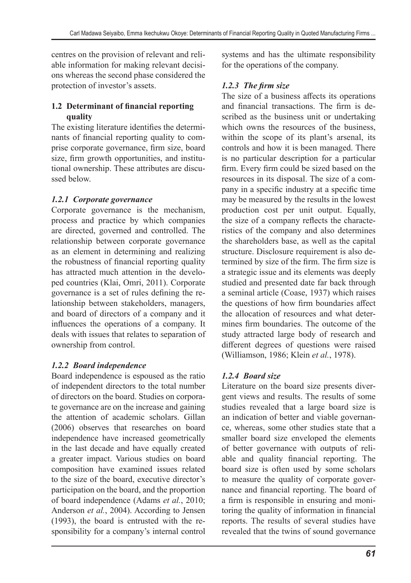centres on the provision of relevant and reliable information for making relevant decisions whereas the second phase considered the protection of investor's assets.

## **1.2 Determinant of financial reporting quality**

The existing literature identifies the determinants of financial reporting quality to comprise corporate governance, firm size, board size, firm growth opportunities, and institutional ownership. These attributes are discussed below.

## *1.2.1 Corporate governance*

Corporate governance is the mechanism, process and practice by which companies are directed, governed and controlled. The relationship between corporate governance as an element in determining and realizing the robustness of financial reporting quality has attracted much attention in the developed countries (Klai, Omri, 2011). Corporate governance is a set of rules defining the relationship between stakeholders, managers, and board of directors of a company and it influences the operations of a company. It deals with issues that relates to separation of ownership from control.

# *1.2.2 Board independence*

Board independence is espoused as the ratio of independent directors to the total number of directors on the board. Studies on corporate governance are on the increase and gaining the attention of academic scholars. Gillan (2006) observes that researches on board independence have increased geometrically in the last decade and have equally created a greater impact. Various studies on board composition have examined issues related to the size of the board, executive director's participation on the board, and the proportion of board independence (Adams *et al.*, 2010; Anderson *et al.*, 2004). According to Jensen (1993), the board is entrusted with the responsibility for a company's internal control systems and has the ultimate responsibility for the operations of the company.

## *1.2.3 The firm size*

The size of a business affects its operations and financial transactions. The firm is described as the business unit or undertaking which owns the resources of the business, within the scope of its plant's arsenal, its controls and how it is been managed. There is no particular description for a particular firm. Every firm could be sized based on the resources in its disposal. The size of a company in a specific industry at a specific time may be measured by the results in the lowest production cost per unit output. Equally, the size of a company reflects the characteristics of the company and also determines the shareholders base, as well as the capital structure. Disclosure requirement is also determined by size of the firm. The firm size is a strategic issue and its elements was deeply studied and presented date far back through a seminal article (Coase, 1937) which raises the questions of how firm boundaries affect the allocation of resources and what determines firm boundaries. The outcome of the study attracted large body of research and different degrees of questions were raised (Williamson, 1986; Klein *et al.*, 1978).

# *1.2.4 Board size*

Literature on the board size presents divergent views and results. The results of some studies revealed that a large board size is an indication of better and viable governance, whereas, some other studies state that a smaller board size enveloped the elements of better governance with outputs of reliable and quality financial reporting. The board size is often used by some scholars to measure the quality of corporate governance and financial reporting. The board of a firm is responsible in ensuring and monitoring the quality of information in financial reports. The results of several studies have revealed that the twins of sound governance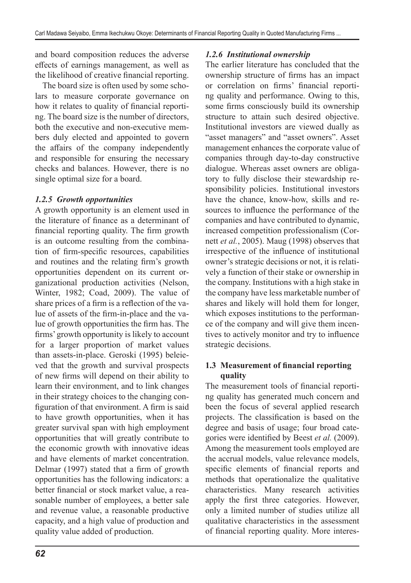and board composition reduces the adverse effects of earnings management, as well as the likelihood of creative financial reporting.

The board size is often used by some scholars to measure corporate governance on how it relates to quality of financial reporting. The board size is the number of directors, both the executive and non-executive members duly elected and appointed to govern the affairs of the company independently and responsible for ensuring the necessary checks and balances. However, there is no single optimal size for a board.

#### *1.2.5 Growth opportunities*

A growth opportunity is an element used in the literature of finance as a determinant of financial reporting quality. The firm growth is an outcome resulting from the combination of firm-specific resources, capabilities and routines and the relating firm's growth opportunities dependent on its current organizational production activities (Nelson, Winter, 1982; Coad, 2009). The value of share prices of a firm is a reflection of the value of assets of the firm-in-place and the value of growth opportunities the firm has. The firms' growth opportunity is likely to account for a larger proportion of market values than assets-in-place. Geroski (1995) beleieved that the growth and survival prospects of new firms will depend on their ability to learn their environment, and to link changes in their strategy choices to the changing configuration of that environment. A firm is said to have growth opportunities, when it has greater survival span with high employment opportunities that will greatly contribute to the economic growth with innovative ideas and have elements of market concentration. Delmar (1997) stated that a firm of growth opportunities has the following indicators: a better financial or stock market value, a reasonable number of employees, a better sale and revenue value, a reasonable productive capacity, and a high value of production and quality value added of production.

### *1.2.6 Institutional ownership*

The earlier literature has concluded that the ownership structure of firms has an impact or correlation on firms' financial reporting quality and performance. Owing to this, some firms consciously build its ownership structure to attain such desired objective. Institutional investors are viewed dually as "asset managers" and "asset owners". Asset management enhances the corporate value of companies through day-to-day constructive dialogue. Whereas asset owners are obligatory to fully disclose their stewardship responsibility policies. Institutional investors have the chance, know-how, skills and resources to influence the performance of the companies and have contributed to dynamic, increased competition professionalism (Cornett *et al.*, 2005). Maug (1998) observes that irrespective of the influence of institutional owner's strategic decisions or not, it is relatively a function of their stake or ownership in the company. Institutions with a high stake in the company have less marketable number of shares and likely will hold them for longer, which exposes institutions to the performance of the company and will give them incentives to actively monitor and try to influence strategic decisions.

#### **1.3 Measurement of financial reporting quality**

The measurement tools of financial reporting quality has generated much concern and been the focus of several applied research projects. The classification is based on the degree and basis of usage; four broad categories were identified by Beest *et al.* (2009). Among the measurement tools employed are the accrual models, value relevance models, specific elements of financial reports and methods that operationalize the qualitative characteristics. Many research activities apply the first three categories. However, only a limited number of studies utilize all qualitative characteristics in the assessment of financial reporting quality. More interes-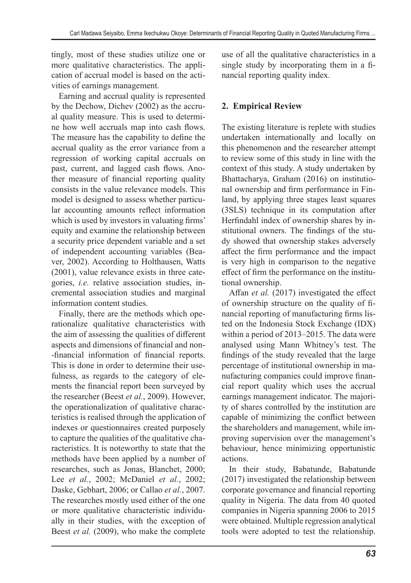tingly, most of these studies utilize one or more qualitative characteristics. The application of accrual model is based on the activities of earnings management.

Earning and accrual quality is represented by the Dechow, Dichev (2002) as the accrual quality measure. This is used to determine how well accruals map into cash flows. The measure has the capability to define the accrual quality as the error variance from a regression of working capital accruals on past, current, and lagged cash flows. Another measure of financial reporting quality consists in the value relevance models. This model is designed to assess whether particular accounting amounts reflect information which is used by investors in valuating firms' equity and examine the relationship between a security price dependent variable and a set of independent accounting variables (Beaver, 2002). According to Holthausen, Watts (2001), value relevance exists in three categories, *i.e.* relative association studies, incremental association studies and marginal information content studies.

Finally, there are the methods which operationalize qualitative characteristics with the aim of assessing the qualities of different aspects and dimensions of financial and non- -financial information of financial reports. This is done in order to determine their usefulness, as regards to the category of elements the financial report been surveyed by the researcher (Beest *et al.*, 2009). However, the operationalization of qualitative characteristics is realised through the application of indexes or questionnaires created purposely to capture the qualities of the qualitative characteristics. It is noteworthy to state that the methods have been applied by a number of researches, such as Jonas, Blanchet, 2000; Lee *et al.*, 2002; McDaniel *et al.*, 2002; Daske, Gebhart, 2006; or Callao *et al.*, 2007. The researches mostly used either of the one or more qualitative characteristic individually in their studies, with the exception of Beest *et al.* (2009), who make the complete use of all the qualitative characteristics in a single study by incorporating them in a financial reporting quality index.

# **2. Empirical Review**

The existing literature is replete with studies undertaken internationally and locally on this phenomenon and the researcher attempt to review some of this study in line with the context of this study. A study undertaken by Bhattacharya, Graham (2016) on institutional ownership and firm performance in Finland, by applying three stages least squares (3SLS) technique in its computation after Herfindahl index of ownership shares by institutional owners. The findings of the study showed that ownership stakes adversely affect the firm performance and the impact is very high in comparison to the negative effect of firm the performance on the institutional ownership.

Affan *et al.* (2017) investigated the effect of ownership structure on the quality of financial reporting of manufacturing firms listed on the Indonesia Stock Exchange (IDX) within a period of 2013–2015. The data were analysed using Mann Whitney's test. The findings of the study revealed that the large percentage of institutional ownership in manufacturing companies could improve financial report quality which uses the accrual earnings management indicator. The majority of shares controlled by the institution are capable of minimizing the conflict between the shareholders and management, while improving supervision over the management's behaviour, hence minimizing opportunistic actions.

In their study, Babatunde, Babatunde (2017) investigated the relationship between corporate governance and financial reporting quality in Nigeria. The data from 40 quoted companies in Nigeria spanning 2006 to 2015 were obtained. Multiple regression analytical tools were adopted to test the relationship.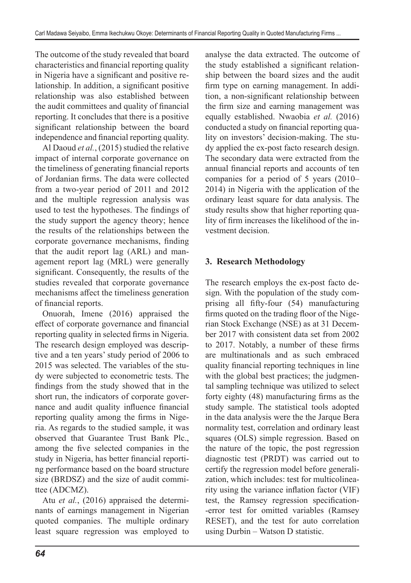The outcome of the study revealed that board characteristics and financial reporting quality in Nigeria have a significant and positive relationship. In addition, a significant positive relationship was also established between the audit committees and quality of financial reporting. It concludes that there is a positive significant relationship between the board independence and financial reporting quality.

Al Daoud *et al.*, (2015) studied the relative impact of internal corporate governance on the timeliness of generating financial reports of Jordanian firms. The data were collected from a two-year period of 2011 and 2012 and the multiple regression analysis was used to test the hypotheses. The findings of the study support the agency theory; hence the results of the relationships between the corporate governance mechanisms, finding that the audit report lag (ARL) and management report lag (MRL) were generally significant. Consequently, the results of the studies revealed that corporate governance mechanisms affect the timeliness generation of financial reports.

Onuorah, Imene (2016) appraised the effect of corporate governance and financial reporting quality in selected firms in Nigeria. The research design employed was descriptive and a ten years' study period of 2006 to 2015 was selected. The variables of the study were subjected to econometric tests. The findings from the study showed that in the short run, the indicators of corporate governance and audit quality influence financial reporting quality among the firms in Nigeria. As regards to the studied sample, it was observed that Guarantee Trust Bank Plc., among the five selected companies in the study in Nigeria, has better financial reporting performance based on the board structure size (BRDSZ) and the size of audit committee (ADCMZ).

Atu *et al.*, (2016) appraised the determinants of earnings management in Nigerian quoted companies. The multiple ordinary least square regression was employed to analyse the data extracted. The outcome of the study established a significant relationship between the board sizes and the audit firm type on earning management. In addition, a non-significant relationship between the firm size and earning management was equally established. Nwaobia *et al.* (2016) conducted a study on financial reporting quality on investors' decision-making. The study applied the ex-post facto research design. The secondary data were extracted from the annual financial reports and accounts of ten companies for a period of 5 years (2010– 2014) in Nigeria with the application of the ordinary least square for data analysis. The study results show that higher reporting quality of firm increases the likelihood of the investment decision.

## **3. Research Methodology**

The research employs the ex-post facto design. With the population of the study comprising all fifty-four (54) manufacturing firms quoted on the trading floor of the Nigerian Stock Exchange (NSE) as at 31 December 2017 with consistent data set from 2002 to 2017. Notably, a number of these firms are multinationals and as such embraced quality financial reporting techniques in line with the global best practices; the judgmental sampling technique was utilized to select forty eighty (48) manufacturing firms as the study sample. The statistical tools adopted in the data analysis were the the Jarque Bera normality test, correlation and ordinary least squares (OLS) simple regression. Based on the nature of the topic, the post regression diagnostic test (PRDT) was carried out to certify the regression model before generalization, which includes: test for multicolinearity using the variance inflation factor (VIF) test, the Ramsey regression specification- -error test for omitted variables (Ramsey RESET), and the test for auto correlation using Durbin – Watson D statistic.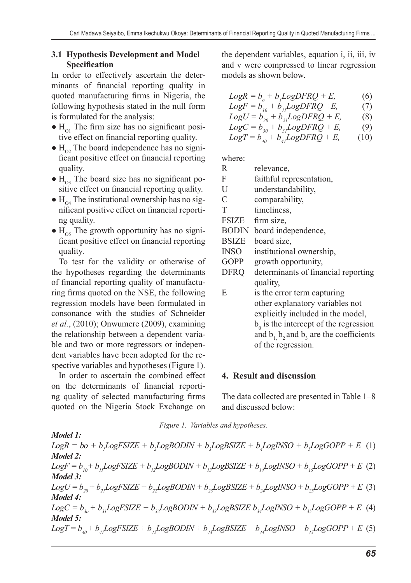#### **3.1 Hypothesis Development and Model Specification**

In order to effectively ascertain the determinants of financial reporting quality in quoted manufacturing firms in Nigeria, the following hypothesis stated in the null form is formulated for the analysis:

- $\bullet$  H<sub>o1</sub> The firm size has no significant positive effect on financial reporting quality.
- $\bullet$  H<sub>02</sub>. The board independence has no significant positive effect on financial reporting quality.
- $\bullet$  H<sub>03</sub> The board size has no significant positive effect on financial reporting quality.
- $\bullet$  H<sub>o4</sub> The institutional ownership has no significant positive effect on financial reporting quality.
- $\bullet$  H<sub>os</sub> The growth opportunity has no significant positive effect on financial reporting quality.

To test for the validity or otherwise of the hypotheses regarding the determinants of financial reporting quality of manufacturing firms quoted on the NSE, the following regression models have been formulated in consonance with the studies of Schneider *et al.*, (2010); Onwumere (2009), examining the relationship between a dependent variable and two or more regressors or independent variables have been adopted for the respective variables and hypotheses (Figure 1).

In order to ascertain the combined effect on the determinants of financial reporting quality of selected manufacturing firms quoted on the Nigeria Stock Exchange on the dependent variables, equation i, ii, iii, iv and v were compressed to linear regression models as shown below.

$$
LogR = b_o + b_j LogDFRQ + E,
$$
  
\n
$$
LogF = b_{j0} + b_{jj} LogDFRQ + E,
$$
  
\n(7)

 $Log U = b_{20} + b_{21} Log DFRQ + E,$  (8)

$$
LogC = b_{30}^{20} + b_{31}^{2}LogDFRQ + E,
$$
 (9)

$$
Log T = b_{q0} + b_{q1} Log DFRQ + E, \qquad (10)
$$

where:

| R             | relevance,                                       |
|---------------|--------------------------------------------------|
| F             | faithful representation,                         |
| U             | understandability,                               |
| $\mathcal{C}$ | comparability,                                   |
| T             | timeliness,                                      |
| <b>FSIZE</b>  | firm size,                                       |
| <b>BODIN</b>  | board independence,                              |
| <b>BSIZE</b>  | board size,                                      |
| <b>INSO</b>   | institutional ownership,                         |
| GOPP          | growth opportunity,                              |
| DFRQ          | determinants of financial reporting              |
|               | quality,                                         |
| E             | is the error term capturing                      |
|               | other explanatory variables not                  |
|               | explicitly included in the model,                |
|               | $b_0$ is the intercept of the regression         |
|               | and $b_1$ , $b_2$ and $b_3$ are the coefficients |
|               | of the regression.                               |
|               |                                                  |

#### **4. Result and discussion**

The data collected are presented in Table 1–8 and discussed below:

*Figure 1. Variables and hypotheses.*

*Model 1:*  $Log R = bo + b_1 Log FSIZE + b_2 Log BODIN + b_3 Log BSIZE + b_4 Log INSO + b_5 Log GOPP + E$  (1) *Model 2:*  $LogF = b_{10} + b_{11}LogFSIZE + b_{12}LogBODIN + b_{13}LogBSIZE + b_{14}LogINSO + b_{15}LogGOPP + E (2)$ *Model 3:*  $Log U = b_{20} + b_{21}Log FSIZE + b_{22}Log BODIN + b_{23}Log BSIZE + b_{24}Log INSO + b_{25}Log GOPP + E$  (3) *Model 4:*  $LogC = b_{3o} + b_{3j}LogFSIZE + b_{3j}LogBODIN + b_{3j}LogBSIZE b_{3j}LogINSO + b_{3j}LogGOPP + E$  (4) *Model 5:*  $Log T = b_{40} + b_{41}Log FSIZE + b_{42}Log BODIN + b_{43}Log BSIZE + b_{41}Log INSO + b_{43}Log GOPP + E$  (5)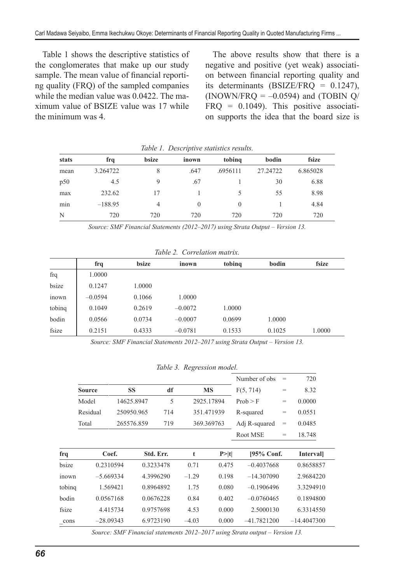Table 1 shows the descriptive statistics of the conglomerates that make up our study sample. The mean value of financial reporting quality (FRQ) of the sampled companies while the median value was 0.0422. The maximum value of BSIZE value was 17 while the minimum was 4.

The above results show that there is a negative and positive (yet weak) association between financial reporting quality and its determinants (BSIZE/FRQ = 0.1247), (INOWN/FRQ =  $-0.0594$ ) and (TOBIN Q/  $FRQ = 0.1049$ . This positive association supports the idea that the board size is

|       | <i>Lable 1. Descriptive statistics results.</i> |       |          |          |          |          |  |  |  |  |
|-------|-------------------------------------------------|-------|----------|----------|----------|----------|--|--|--|--|
| stats | frq                                             | bsize | inown    | tobing   | bodin    | fsize    |  |  |  |  |
| mean  | 3.264722                                        | 8     | .647     | .6956111 | 27.24722 | 6.865028 |  |  |  |  |
| p50   | 4.5                                             | 9     | .67      |          | 30       | 6.88     |  |  |  |  |
| max   | 232.62                                          | 17    |          |          | 55       | 8.98     |  |  |  |  |
| min   | $-188.95$                                       | 4     | $\Omega$ | 0        |          | 4.84     |  |  |  |  |
| N     | 720                                             | 720   | 720      | 720      | 720      | 720      |  |  |  |  |

*Table 1. Descriptive statistics results.*

*Source: SMF Financial Statements (2012–2017) using Strata Output – Version 13.*

|        | frq       | bsize  | inown     | tobing | bodin  | fsize  |
|--------|-----------|--------|-----------|--------|--------|--------|
| frq    | 1.0000    |        |           |        |        |        |
| bsize  | 0.1247    | 1.0000 |           |        |        |        |
| inown  | $-0.0594$ | 0.1066 | 1.0000    |        |        |        |
| tobing | 0.1049    | 0.2619 | $-0.0072$ | 1.0000 |        |        |
| bodin  | 0.0566    | 0.0734 | $-0.0007$ | 0.0699 | 1.0000 |        |
| fsize  | 0.2151    | 0.4333 | $-0.0781$ | 0.1533 | 0.1025 | 1.0000 |

*Source: SMF Financial Statements 2012–2017 using Strata Output – Version 13.*

*Table 3. Regression model.*

|        |               |            |           |     |            |        | Number of obs | $=$ | 720              |  |
|--------|---------------|------------|-----------|-----|------------|--------|---------------|-----|------------------|--|
|        | <b>Source</b> | <b>SS</b>  |           | df  | <b>MS</b>  |        | F(5, 714)     | $=$ | 8.32             |  |
|        | Model         | 14625.8947 |           | 5   | 2925.17894 |        | Prob > F      | $=$ | 0.0000           |  |
|        | Residual      | 250950.965 |           | 714 | 351.471939 |        | R-squared     | $=$ | 0.0551           |  |
|        | Total         | 265576.859 |           | 719 | 369.369763 |        | Adj R-squared | $=$ | 0.0485           |  |
|        |               |            |           |     |            |        | Root MSE      | $=$ | 18.748           |  |
|        |               |            |           |     |            |        |               |     |                  |  |
| frq    | Coef.         |            | Std. Err. |     | t          | P >  t | [95% Conf.    |     | <b>Intervall</b> |  |
| bsize  | 0.2310594     |            | 0.3233478 |     | 0.71       | 0.475  | $-0.4037668$  |     | 0.8658857        |  |
| inown  | $-5.669334$   |            | 4.3996290 |     | $-1.29$    | 0.198  | $-14.307090$  |     | 2.9684220        |  |
| tobing |               | 1.569421   | 0.8964892 |     | 1.75       | 0.080  | $-0.1906496$  |     | 3.3294910        |  |
| bodin  | 0.0567168     |            | 0.0676228 |     | 0.84       | 0.402  | $-0.0760465$  |     | 0.1894800        |  |
| fsize  |               | 4.415734   | 0.9757698 |     | 4.53       | 0.000  | 2.5000130     |     | 6.3314550        |  |
| cons   | $-28.09343$   |            | 6.9723190 |     | $-4.03$    | 0.000  | $-41.7821200$ |     | $-14.4047300$    |  |
|        |               |            |           |     |            |        |               |     |                  |  |

*Source: SMF Financial statements 2012–2017 using Strata output – Version 13.*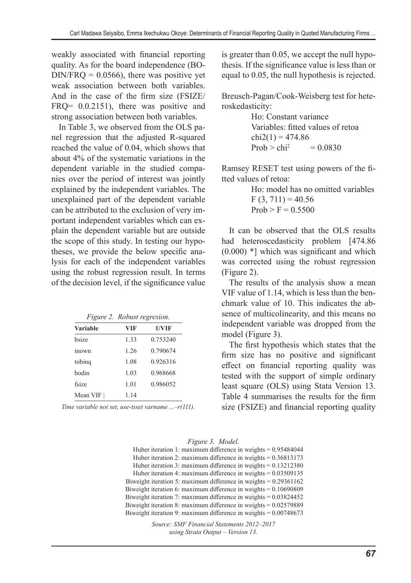weakly associated with financial reporting quality. As for the board independence (BO- $DIN/FRO = 0.0566$ , there was positive yet weak association between both variables. And in the case of the firm size (FSIZE/ FRQ=  $0.0.2151$ ), there was positive and strong association between both variables.

In Table 3, we observed from the OLS panel regression that the adjusted R-squared reached the value of 0.04, which shows that about 4% of the systematic variations in the dependent variable in the studied companies over the period of interest was jointly explained by the independent variables. The unexplained part of the dependent variable can be attributed to the exclusion of very important independent variables which can explain the dependent variable but are outside the scope of this study. In testing our hypotheses, we provide the below specific analysis for each of the independent variables using the robust regression result. In terms of the decision level, if the significance value

*Figure 2. Robust regresion.*

| <b>Variable</b> | VIF  | 1/VIF    |
|-----------------|------|----------|
| hsize           | 1.33 | 0.753240 |
| inown           | 1.26 | 0.790674 |
| tobing          | 1.08 | 0.926316 |
| hodin           | 1.03 | 0.968668 |
| fsize           | 1.01 | 0.986052 |
| Mean VIF        | 1.14 |          |

*Time variable not set, use-tsset varname ...–r(111).*

is greater than 0.05, we accept the null hypothesis. If the significance value is less than or equal to 0.05, the null hypothesis is rejected.

Breusch-Pagan/Cook-Weisberg test for heteroskedasticity:

> Ho: Constant variance Variables: fitted values of retoa  $chi2(1) = 474.86$  $Prob > chi^2 = 0.0830$

Ramsey RESET test using powers of the fitted values of retoa:

> Ho: model has no omitted variables  $F(3, 711) = 40.56$  $Prob > F = 0.5500$

It can be observed that the OLS results had heteroscedasticity problem [474.86 (0.000) \*] which was significant and which was corrected using the robust regression (Figure 2).

The results of the analysis show a mean VIF value of 1.14, which is less than the benchmark value of 10. This indicates the absence of multicolinearity, and this means no independent variable was dropped from the model (Figure 3).

The first hypothesis which states that the firm size has no positive and significant effect on financial reporting quality was tested with the support of simple ordinary least square (OLS) using Stata Version 13. Table 4 summarises the results for the firm size (FSIZE) and financial reporting quality

*Figure 3. Model.*

Huber iteration 1: maximum difference in weights = 0.95484044 Huber iteration 2: maximum difference in weights = 0.36813173 Huber iteration 3: maximum difference in weights = 0.13212380 Huber iteration 4: maximum difference in weights = 0.03509135 Biweight iteration 5: maximum difference in weights = 0.29361162 Biweight iteration 6: maximum difference in weights = 0.10690809 Biweight iteration 7: maximum difference in weights = 0.03824452 Biweight iteration 8: maximum difference in weights = 0.02579889 Biweight iteration 9: maximum difference in weights = 0.00748673

> *Source: SMF Financial Statements 2012–2017 using Strata Output – Version 13.*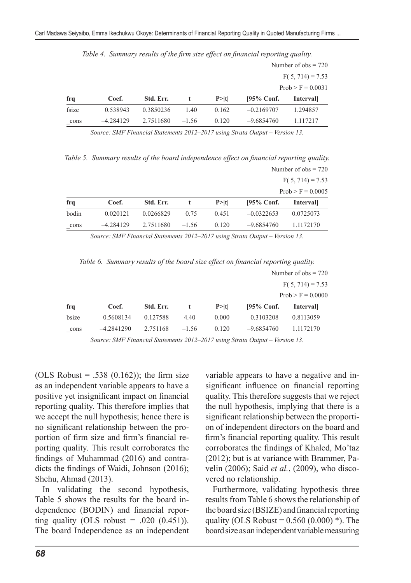|       |             |           |         |        |               | Number of $obs = 720$ |  |
|-------|-------------|-----------|---------|--------|---------------|-----------------------|--|
|       |             |           |         |        |               | $F(5, 714) = 7.53$    |  |
|       |             |           |         |        |               | $Prob > F = 0.0031$   |  |
| frq   | Coef.       | Std. Err. |         | P >  t | $195\%$ Conf. | <b>Intervall</b>      |  |
| fsize | 0.538943    | 0.3850236 | 1.40    | 0.162  | $-0.2169707$  | 1.294857              |  |
| cons  | $-4.284129$ | 2.7511680 | $-1.56$ | 0.120  | $-9.6854760$  | 1.117217              |  |

*Table 4. Summary results of the firm size effect on financial reporting quality.*

*Source: SMF Financial Statements 2012–2017 using Strata Output – Version 13.*

*Table 5. Summary results of the board independence effect on financial reporting quality.* Number of  $obs = 720$ 

|       |             |           |         |        |               | $F(5, 714) = 7.53$  |
|-------|-------------|-----------|---------|--------|---------------|---------------------|
|       |             |           |         |        |               | $Prob > F = 0.0005$ |
| frq   | Coef.       | Std. Err. |         | P >  t | $195\%$ Conf. | <i>Intervall</i>    |
| bodin | 0.020121    | 0.0266829 | 0.75    | 0.451  | $-0.0322653$  | 0.0725073           |
| cons  | $-4.284129$ | 2.7511680 | $-1.56$ | 0.120  | $-9.6854760$  | 1.1172170           |

*Source: SMF Financial Statements 2012–2017 using Strata Output – Version 13.*

*Table 6. Summary results of the board size effect on financial reporting quality.*

|       |              |           |         |        |               | Number of $obs = 720$ |  |  |
|-------|--------------|-----------|---------|--------|---------------|-----------------------|--|--|
|       |              |           |         |        |               | $F(5, 714) = 7.53$    |  |  |
|       |              |           |         |        |               | $Prob > F = 0.0000$   |  |  |
| frq   | Coef.        | Std. Err. |         | P >  t | $195\%$ Conf. | <b>Intervall</b>      |  |  |
| bsize | 0.5608134    | 0.127588  | 4.40    | 0.000  | 0.3103208     | 0.8113059             |  |  |
| cons  | $-4.2841290$ | 2.751168  | $-1.56$ | 0.120  | $-9.6854760$  | 1.1172170             |  |  |

*Source: SMF Financial Statements 2012–2017 using Strata Output – Version 13.*

(OLS Robust = .538  $(0.162)$ ); the firm size as an independent variable appears to have a positive yet insignificant impact on financial reporting quality. This therefore implies that we accept the null hypothesis; hence there is no significant relationship between the proportion of firm size and firm's financial reporting quality. This result corroborates the findings of Muhammad (2016) and contradicts the findings of Waidi, Johnson (2016); Shehu, Ahmad (2013).

In validating the second hypothesis, Table 5 shows the results for the board independence (BODIN) and financial reporting quality (OLS robust  $= .020$  (0.451)). The board Independence as an independent variable appears to have a negative and insignificant influence on financial reporting quality. This therefore suggests that we reject the null hypothesis, implying that there is a significant relationship between the proportion of independent directors on the board and firm's financial reporting quality. This result corroborates the findings of Khaled, Mo'taz (2012); but is at variance with Brammer, Pavelin (2006); Said *et al.*, (2009), who discovered no relationship.

Furthermore, validating hypothesis three results from Table 6 shows the relationship of the board size (BSIZE) and financial reporting quality (OLS Robust =  $0.560$  (0.000) \*). The board size as an independent variable measuring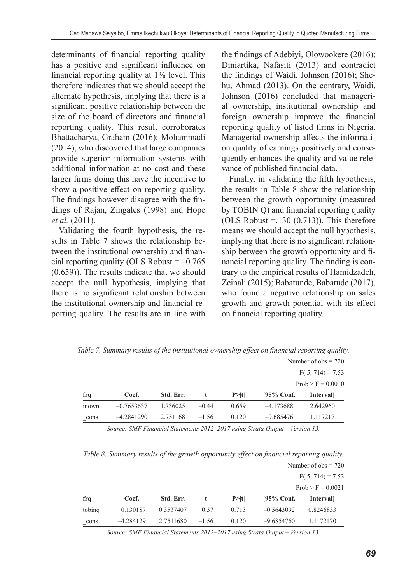determinants of financial reporting quality has a positive and significant influence on financial reporting quality at 1% level. This therefore indicates that we should accept the alternate hypothesis, implying that there is a significant positive relationship between the size of the board of directors and financial reporting quality. This result corroborates Bhattacharya, Graham (2016); Mohammadi (2014), who discovered that large companies provide superior information systems with additional information at no cost and these larger firms doing this have the incentive to show a positive effect on reporting quality. The findings however disagree with the findings of Rajan, Zingales (1998) and Hope *et al.* (2011).

Validating the fourth hypothesis, the results in Table 7 shows the relationship between the institutional ownership and financial reporting quality (OLS Robust  $= -0.765$ ) (0.659)). The results indicate that we should accept the null hypothesis, implying that there is no significant relationship between the institutional ownership and financial reporting quality. The results are in line with the findings of Adebiyi, Olowookere (2016); Diniartika, Nafasiti (2013) and contradict the findings of Waidi, Johnson (2016); Shehu, Ahmad (2013). On the contrary, Waidi, Johnson (2016) concluded that managerial ownership, institutional ownership and foreign ownership improve the financial reporting quality of listed firms in Nigeria. Managerial ownership affects the information quality of earnings positively and consequently enhances the quality and value relevance of published financial data.

Finally, in validating the fifth hypothesis, the results in Table 8 show the relationship between the growth opportunity (measured by TOBIN Q) and financial reporting quality (OLS Robust  $=$  130 (0.713)). This therefore means we should accept the null hypothesis, implying that there is no significant relationship between the growth opportunity and financial reporting quality. The finding is contrary to the empirical results of Hamidzadeh, Zeinali (2015); Babatunde, Babatude (2017), who found a negative relationship on sales growth and growth potential with its effect on financial reporting quality.

|                    |              |           |         |        |               | Number of $obs = 720$ |
|--------------------|--------------|-----------|---------|--------|---------------|-----------------------|
| $F(5, 714) = 7.53$ |              |           |         |        |               |                       |
|                    |              |           |         |        |               | $Prob > F = 0.0010$   |
| frq                | Coef.        | Std. Err. |         | P >  t | $195\%$ Conf. | <b>Intervall</b>      |
| <i>inown</i>       | $-0.7653637$ | 1.736025  | $-0.44$ | 0.659  | $-4.173688$   | 2.642960              |
| cons               | $-4.2841290$ | 2.751168  | $-1.56$ | 0.120  | $-9.685476$   | 1.117217              |

*Table 7. Summary results of the institutional ownership effect on financial reporting quality.*

*Source: SMF Financial Statements 2012–2017 using Strata Output – Version 13.*

*Table 8. Summary results of the growth opportunity effect on financial reporting quality.*

|        |             |           |         |        |               | Number of $obs = 720$ |  |
|--------|-------------|-----------|---------|--------|---------------|-----------------------|--|
|        |             |           |         |        |               | $F(5, 714) = 7.53$    |  |
|        |             |           |         |        |               | $Prob > F = 0.0021$   |  |
| frq    | Coef.       | Std. Err. |         | P >  t | $195\%$ Conf. | <b>Intervall</b>      |  |
| tobing | 0.130187    | 0.3537407 | 0.37    | 0.713  | $-0.5643092$  | 0.8246833             |  |
| cons   | $-4.284129$ | 2.7511680 | $-1.56$ | 0.120  | $-9.6854760$  | 1.1172170             |  |

*Source: SMF Financial Statements 2012–2017 using Strata Output – Version 13.*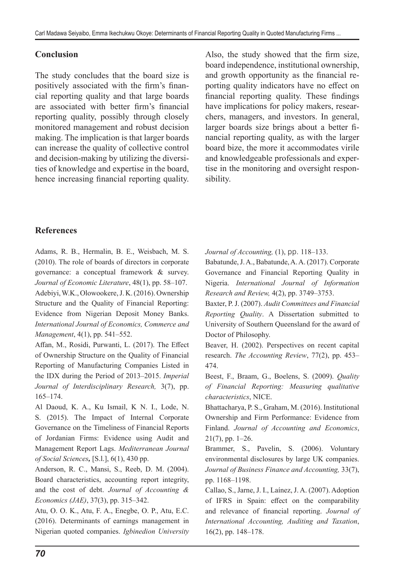## **Conclusion**

The study concludes that the board size is positively associated with the firm's financial reporting quality and that large boards are associated with better firm's financial reporting quality, possibly through closely monitored management and robust decision making. The implication is that larger boards can increase the quality of collective control and decision-making by utilizing the diversities of knowledge and expertise in the board, hence increasing financial reporting quality. Also, the study showed that the firm size, board independence, institutional ownership, and growth opportunity as the financial reporting quality indicators have no effect on financial reporting quality. These findings have implications for policy makers, researchers, managers, and investors. In general, larger boards size brings about a better financial reporting quality, as with the larger board bize, the more it accommodates virile and knowledgeable professionals and expertise in the monitoring and oversight responsibility.

## **References**

Adams, R. B., Hermalin, B. E., Weisbach, M. S. (2010). The role of boards of directors in corporate governance: a conceptual framework & survey. *Journal of Economic Literature*, 48(1), pp. 58–107. Adebiyi, W.K., Olowookere, J. K. (2016). Ownership Structure and the Quality of Financial Reporting: Evidence from Nigerian Deposit Money Banks. *International Journal of Economics, Commerce and Management*, 4(1), pp. 541–552.

Affan, M., Rosidi, Purwanti, L. (2017). The Effect of Ownership Structure on the Quality of Financial Reporting of Manufacturing Companies Listed in the IDX during the Period of 2013–2015. *Imperial Journal of Interdisciplinary Research,* 3(7), pp. 165–174.

Al Daoud, K. A., Ku Ismail, K N. I., Lode, N. S. (2015). The Impact of Internal Corporate Governance on the Timeliness of Financial Reports of Jordanian Firms: Evidence using Audit and Management Report Lags. *Mediterranean Journal of Social Sciences,* [S.l.], 6(1), 430 pp.

Anderson, R. C., Mansi, S., Reeb, D. M. (2004). Board characteristics, accounting report integrity, and the cost of debt. *Journal of Accounting & Economics (JAE)*, 37(3), pp. 315–342.

Atu, O. O. K., Atu, F. A., Enegbe, O. P., Atu, E.C. (2016). Determinants of earnings management in Nigerian quoted companies. *Igbinedion University*  *Journal of Accounting,* (1), pp. 118–133.

Babatunde, J. A., Babatunde, A. A. (2017). Corporate Governance and Financial Reporting Quality in Nigeria. *International Journal of Information Research and Review,* 4(2), pp. 3749–3753.

Baxter, P. J. (2007). *Audit Committees and Financial Reporting Quality*. A Dissertation submitted to University of Southern Queensland for the award of Doctor of Philosophy.

Beaver, H. (2002). Perspectives on recent capital research. *The Accounting Review*, 77(2), pp. 453– 474.

Beest, F., Braam, G., Boelens, S. (2009). *Quality of Financial Reporting: Measuring qualitative characteristics*, NICE.

Bhattacharya, P. S., Graham, M. (2016). Institutional Ownership and Firm Performance: Evidence from Finland. *Journal of Accounting and Economics*, 21(7), pp. 1–26.

Brammer, S., Pavelin, S. (2006). Voluntary environmental disclosures by large UK companies. *Journal of Business Finance and Accounting,* 33(7), pp. 1168–1198.

Callao, S., Jarne, J. I., Laínez, J. A. (2007). Adoption of IFRS in Spain: effect on the comparability and relevance of financial reporting. *Journal of International Accounting, Auditing and Taxation*, 16(2), pp. 148–178.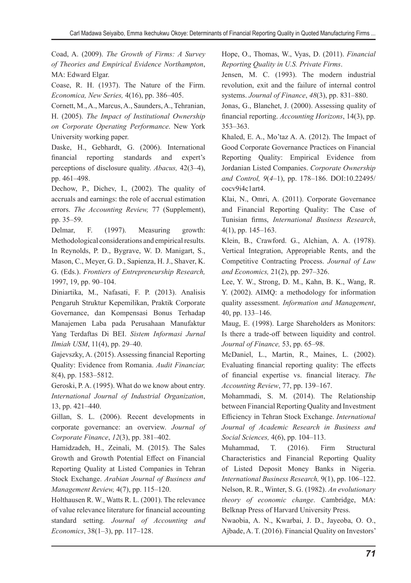Coad, A. (2009). *The Growth of Firms: A Survey of Theories and Empirical Evidence Northampton*, MA: Edward Elgar.

Coase, R. H. (1937). The Nature of the Firm. *Economica, New Series,* 4(16), pp. 386–405.

Cornett, M., A., Marcus, A., Saunders, A., Tehranian, H. (2005). *The Impact of Institutional Ownership on Corporate Operating Performance*. New York University working paper.

Daske, H., Gebhardt, G. (2006). International financial reporting standards and expert's perceptions of disclosure quality. *Abacus,* 42(3–4), pp. 461–498.

Dechow, P., Dichev, I., (2002). The quality of accruals and earnings: the role of accrual estimation errors. *The Accounting Review,* 77 (Supplement), pp. 35–59.

Delmar, F. (1997). Measuring growth: Methodological considerations and empirical results. In Reynolds, P. D., Bygrave, W. D. Manigart, S., Mason, C., Meyer, G. D., Sapienza, H. J., Shaver, K. G. (Eds.). *Frontiers of Entrepreneurship Research,* 1997, 19, pp. 90–104.

Diniartika, M., Nafasati, F. P. (2013). Analisis Pengaruh Struktur Kepemilikan, Praktik Corporate Governance, dan Kompensasi Bonus Terhadap Manajemen Laba pada Perusahaan Manufaktur Yang Terdaftas Di BEI. *Sistem Informasi Jurnal Ilmiah USM*, 11(4), pp. 29–40.

Gajevszky, A. (2015). Assessing financial Reporting Quality: Evidence from Romania. *Audit Financiar,* 8(4), pp. 1583–5812.

Geroski, P. A. (1995). What do we know about entry. *International Journal of Industrial Organization*, 13, pp. 421–440.

Gillan, S. L. (2006). Recent developments in corporate governance: an overview. *Journal of Corporate Finance*, *12*(3), pp. 381–402.

Hamidzadeh, H., Zeinali, M. (2015). The Sales Growth and Growth Potential Effect on Financial Reporting Quality at Listed Companies in Tehran Stock Exchange. *Arabian Journal of Business and Management Review,* 4(7), pp. 115–120.

Holthausen R. W., Watts R. L. (2001). The relevance of value relevance literature for financial accounting standard setting. *Journal of Accounting and Economics*, 38(1–3), pp. 117–128.

Hope, O., Thomas, W., Vyas, D. (2011). *Financial Reporting Quality in U.S. Private Firms*.

Jensen, M. C. (1993). The modern industrial revolution, exit and the failure of internal control systems. *Journal of Finance*, *48*(3), pp. 831–880.

Jonas, G., Blanchet, J. (2000). Assessing quality of financial reporting. *Accounting Horizons*, 14(3), pp. 353–363.

Khaled, E. A., Mo'taz A. A. (2012). The Impact of Good Corporate Governance Practices on Financial Reporting Quality: Empirical Evidence from Jordanian Listed Companies. *Corporate Ownership and Control, 9*(*4–*1), pp. 178–186. DOI:10.22495/ cocv9i4c1art4.

Klai, N., Omri, A. (2011). Corporate Governance and Financial Reporting Quality: The Case of Tunisian firms, *International Business Research*, 4(1), pp. 145–163.

Klein, B., Crawford. G., Alchian, A. A. (1978). Vertical Integration, Appropriable Rents, and the Competitive Contracting Process. *Journal of Law and Economics,* 21(2), pp. 297–326.

Lee, Y. W., Strong, D. M., Kahn, B. K., Wang, R. Y. (2002). AIMQ: a methodology for information quality assessment. *Information and Management*, 40, pp. 133–146.

Maug, E. (1998). Large Shareholders as Monitors: Is there a trade-off between liquidity and control. *Journal of Finance,* 53, pp. 65–98.

McDaniel, L., Martin, R., Maines, L. (2002). Evaluating financial reporting quality: The effects of financial expertise vs. financial literacy. *The Accounting Review*, 77, pp. 139–167.

Mohammadi, S. M. (2014). The Relationship between Financial Reporting Quality and Investment Efficiency in Tehran Stock Exchange. *International Journal of Academic Research in Business and Social Sciences,* 4(6), pp. 104–113.

Muhammad, T. (2016). Firm Structural Characteristics and Financial Reporting Quality of Listed Deposit Money Banks in Nigeria. *International Business Research,* 9(1), pp. 106–122. Nelson, R. R., Winter, S. G. (1982). *An evolutionary theory of economic change*. Cambridge, MA: Belknap Press of Harvard University Press.

Nwaobia, A. N., Kwarbai, J. D., Jayeoba, O. O., Ajbade, A. T. (2016). Financial Quality on Investors'